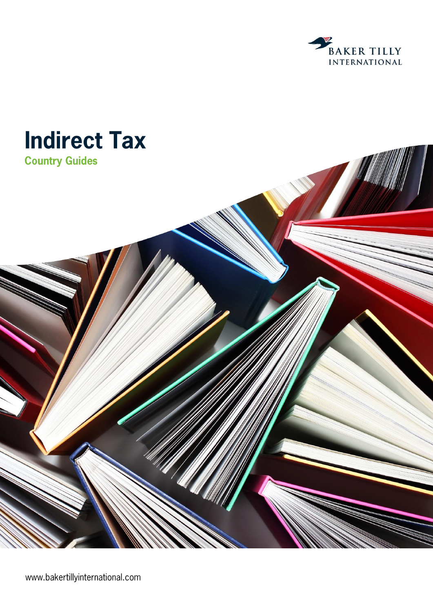



www.bakertillyinternational.com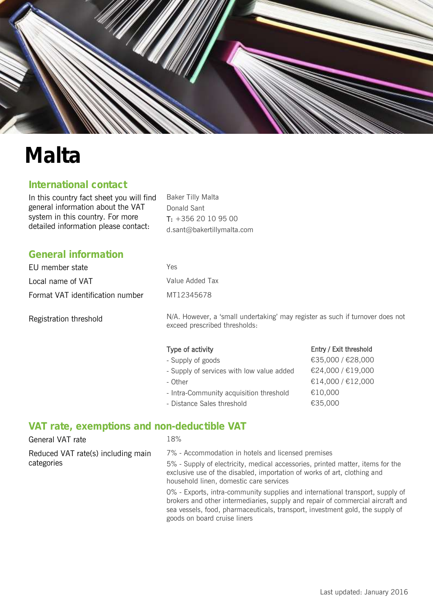

# **Malta**

## **International contact**

In this country fact sheet you will find general information about the VAT system in this country. For more detailed information please contact:

Baker Tilly Malta Donald Sant T: +356 20 10 95 00 d.sant@bakertillymalta.com

## **General information**

| EU member state                  | Yes |
|----------------------------------|-----|
| Local name of VAT                | Val |
| Format VAT identification number | МT  |

Registration threshold

N/A. However, a 'small undertaking' may register as such if turnover does not exceed prescribed thresholds:

Entry / Exit threshold

### Type of activity

Value Added Tax

MT12345678

| - Supply of goods                         | €35,000 / €28,000 |
|-------------------------------------------|-------------------|
| - Supply of services with low value added | €24,000/€19,000   |
| - Other                                   | €14,000/€12,000   |
| - Intra-Community acquisition threshold   | €10,000           |
| - Distance Sales threshold                | €35,000           |

## **VAT rate, exemptions and non-deductible VAT**

| General VAT rate                                 | 18%                                                                                                                                                                                                                                                         |
|--------------------------------------------------|-------------------------------------------------------------------------------------------------------------------------------------------------------------------------------------------------------------------------------------------------------------|
| Reduced VAT rate(s) including main<br>categories | 7% - Accommodation in hotels and licensed premises<br>5% - Supply of electricity, medical accessories, printed matter, items for the<br>exclusive use of the disabled, importation of works of art, clothing and<br>household linen, domestic care services |
|                                                  | 0% - Exports, intra-community supplies and international transport, supply of<br>brokers and other intermediaries, supply and repair of commercial aircraft and<br>sea vessels, food, pharmaceuticals, transport, investment gold, the supply of            |

goods on board cruise liners

Last updated: January 2016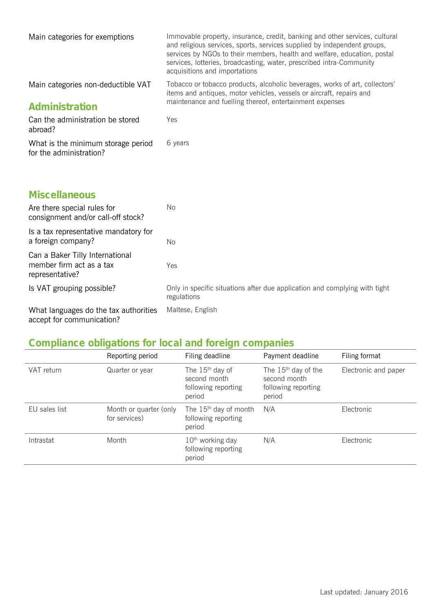| Main categories for exemptions                                                 | Immovable property, insurance, credit, banking and other services, cultural<br>and religious services, sports, services supplied by independent groups,<br>services by NGOs to their members, health and welfare, education, postal<br>services, lotteries, broadcasting, water, prescribed intra-Community<br>acquisitions and importations |
|--------------------------------------------------------------------------------|----------------------------------------------------------------------------------------------------------------------------------------------------------------------------------------------------------------------------------------------------------------------------------------------------------------------------------------------|
| Main categories non-deductible VAT<br>Administration                           | Tobacco or tobacco products, alcoholic beverages, works of art, collectors'<br>items and antiques, motor vehicles, vessels or aircraft, repairs and<br>maintenance and fuelling thereof, entertainment expenses                                                                                                                              |
| Can the administration be stored<br>abroad?                                    | Yes                                                                                                                                                                                                                                                                                                                                          |
| What is the minimum storage period<br>for the administration?                  | 6 years                                                                                                                                                                                                                                                                                                                                      |
| <b>Miscellaneous</b>                                                           |                                                                                                                                                                                                                                                                                                                                              |
| Are there special rules for<br>consignment and/or call-off stock?              | No                                                                                                                                                                                                                                                                                                                                           |
| Is a tax representative mandatory for<br>a foreign company?                    | No                                                                                                                                                                                                                                                                                                                                           |
| Can a Baker Tilly International<br>member firm act as a tax<br>representative? | Yes                                                                                                                                                                                                                                                                                                                                          |
| Is VAT grouping possible?                                                      | Only in specific situations after due application and complying with tight<br>regulations                                                                                                                                                                                                                                                    |
| AA flage to be a comparison of the file of the comparison of the control of    | $M = \frac{1}{2}$                                                                                                                                                                                                                                                                                                                            |

What languages do the tax authorities Maltese, English accept for communication?

# **Compliance obligations for local and foreign companies**

|               | Reporting period                        | Filing deadline                                                    | Payment deadline                                                       | Filing format        |
|---------------|-----------------------------------------|--------------------------------------------------------------------|------------------------------------------------------------------------|----------------------|
| VAT return    | Quarter or year                         | The $15th$ day of<br>second month<br>following reporting<br>period | The $15th$ day of the<br>second month<br>following reporting<br>period | Electronic and paper |
| EU sales list | Month or quarter (only<br>for services) | The 15 <sup>th</sup> day of month<br>following reporting<br>period | N/A                                                                    | Electronic           |
| Intrastat     | Month                                   | 10 <sup>th</sup> working day<br>following reporting<br>period      | N/A                                                                    | Electronic           |